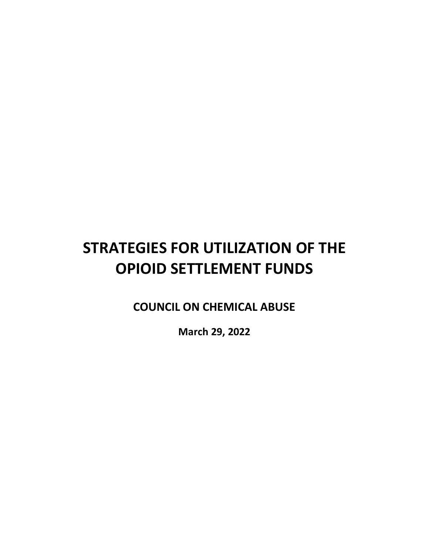# **STRATEGIES FOR UTILIZATION OF THE OPIOID SETTLEMENT FUNDS**

**COUNCIL ON CHEMICAL ABUSE**

**March 29, 2022**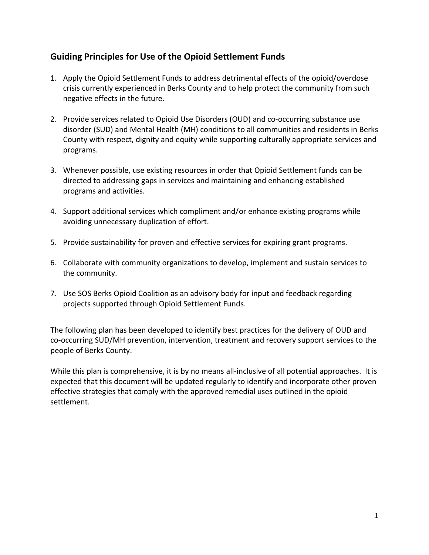# **Guiding Principles for Use of the Opioid Settlement Funds**

- 1. Apply the Opioid Settlement Funds to address detrimental effects of the opioid/overdose crisis currently experienced in Berks County and to help protect the community from such negative effects in the future.
- 2. Provide services related to Opioid Use Disorders (OUD) and co-occurring substance use disorder (SUD) and Mental Health (MH) conditions to all communities and residents in Berks County with respect, dignity and equity while supporting culturally appropriate services and programs.
- 3. Whenever possible, use existing resources in order that Opioid Settlement funds can be directed to addressing gaps in services and maintaining and enhancing established programs and activities.
- 4. Support additional services which compliment and/or enhance existing programs while avoiding unnecessary duplication of effort.
- 5. Provide sustainability for proven and effective services for expiring grant programs.
- 6. Collaborate with community organizations to develop, implement and sustain services to the community.
- 7. Use SOS Berks Opioid Coalition as an advisory body for input and feedback regarding projects supported through Opioid Settlement Funds.

The following plan has been developed to identify best practices for the delivery of OUD and co-occurring SUD/MH prevention, intervention, treatment and recovery support services to the people of Berks County.

While this plan is comprehensive, it is by no means all-inclusive of all potential approaches. It is expected that this document will be updated regularly to identify and incorporate other proven effective strategies that comply with the approved remedial uses outlined in the opioid settlement.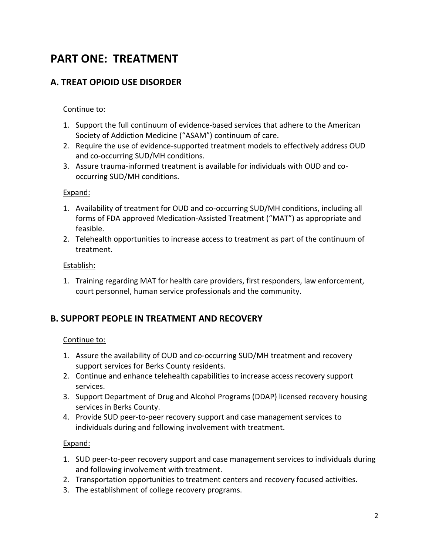# **PART ONE: TREATMENT**

# **A. TREAT OPIOID USE DISORDER**

### Continue to:

- 1. Support the full continuum of evidence-based services that adhere to the American Society of Addiction Medicine ("ASAM") continuum of care.
- 2. Require the use of evidence-supported treatment models to effectively address OUD and co-occurring SUD/MH conditions.
- 3. Assure trauma-informed treatment is available for individuals with OUD and cooccurring SUD/MH conditions.

#### Expand:

- 1. Availability of treatment for OUD and co-occurring SUD/MH conditions, including all forms of FDA approved Medication-Assisted Treatment ("MAT") as appropriate and feasible.
- 2. Telehealth opportunities to increase access to treatment as part of the continuum of treatment.

#### Establish:

1. Training regarding MAT for health care providers, first responders, law enforcement, court personnel, human service professionals and the community.

# **B. SUPPORT PEOPLE IN TREATMENT AND RECOVERY**

### Continue to:

- 1. Assure the availability of OUD and co-occurring SUD/MH treatment and recovery support services for Berks County residents.
- 2. Continue and enhance telehealth capabilities to increase access recovery support services.
- 3. Support Department of Drug and Alcohol Programs (DDAP) licensed recovery housing services in Berks County.
- 4. Provide SUD peer-to-peer recovery support and case management services to individuals during and following involvement with treatment.

#### Expand:

- 1. SUD peer-to-peer recovery support and case management services to individuals during and following involvement with treatment.
- 2. Transportation opportunities to treatment centers and recovery focused activities.
- 3. The establishment of college recovery programs.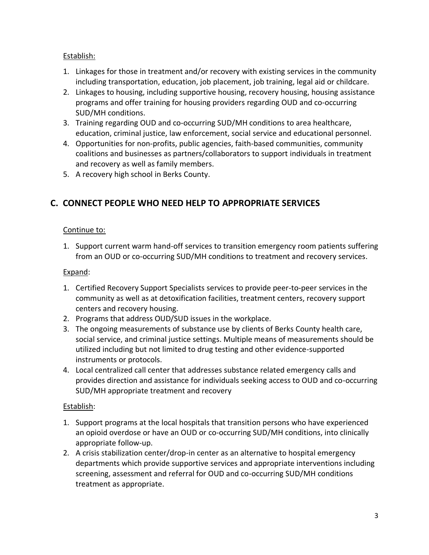# Establish:

- 1. Linkages for those in treatment and/or recovery with existing services in the community including transportation, education, job placement, job training, legal aid or childcare.
- 2. Linkages to housing, including supportive housing, recovery housing, housing assistance programs and offer training for housing providers regarding OUD and co-occurring SUD/MH conditions.
- 3. Training regarding OUD and co-occurring SUD/MH conditions to area healthcare, education, criminal justice, law enforcement, social service and educational personnel.
- 4. Opportunities for non-profits, public agencies, faith-based communities, community coalitions and businesses as partners/collaborators to support individuals in treatment and recovery as well as family members.
- 5. A recovery high school in Berks County.

# **C. CONNECT PEOPLE WHO NEED HELP TO APPROPRIATE SERVICES**

# Continue to:

1. Support current warm hand-off services to transition emergency room patients suffering from an OUD or co-occurring SUD/MH conditions to treatment and recovery services.

# Expand:

- 1. Certified Recovery Support Specialists services to provide peer-to-peer services in the community as well as at detoxification facilities, treatment centers, recovery support centers and recovery housing.
- 2. Programs that address OUD/SUD issues in the workplace.
- 3. The ongoing measurements of substance use by clients of Berks County health care, social service, and criminal justice settings. Multiple means of measurements should be utilized including but not limited to drug testing and other evidence-supported instruments or protocols.
- 4. Local centralized call center that addresses substance related emergency calls and provides direction and assistance for individuals seeking access to OUD and co-occurring SUD/MH appropriate treatment and recovery

# Establish:

- 1. Support programs at the local hospitals that transition persons who have experienced an opioid overdose or have an OUD or co-occurring SUD/MH conditions, into clinically appropriate follow-up.
- 2. A crisis stabilization center/drop-in center as an alternative to hospital emergency departments which provide supportive services and appropriate interventions including screening, assessment and referral for OUD and co-occurring SUD/MH conditions treatment as appropriate.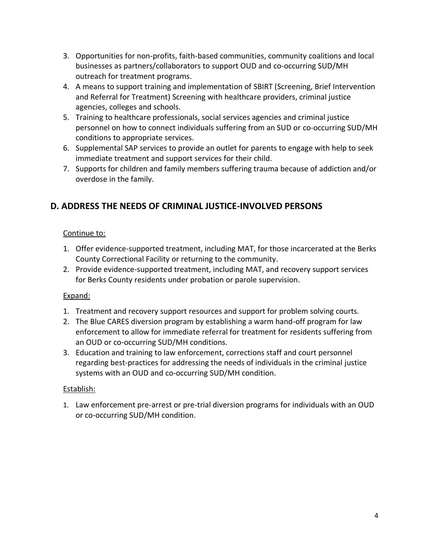- 3. Opportunities for non-profits, faith-based communities, community coalitions and local businesses as partners/collaborators to support OUD and co-occurring SUD/MH outreach for treatment programs.
- 4. A means to support training and implementation of SBIRT (Screening, Brief Intervention and Referral for Treatment) Screening with healthcare providers, criminal justice agencies, colleges and schools.
- 5. Training to healthcare professionals, social services agencies and criminal justice personnel on how to connect individuals suffering from an SUD or co-occurring SUD/MH conditions to appropriate services.
- 6. Supplemental SAP services to provide an outlet for parents to engage with help to seek immediate treatment and support services for their child.
- 7. Supports for children and family members suffering trauma because of addiction and/or overdose in the family.

# **D. ADDRESS THE NEEDS OF CRIMINAL JUSTICE-INVOLVED PERSONS**

# Continue to:

- 1. Offer evidence-supported treatment, including MAT, for those incarcerated at the Berks County Correctional Facility or returning to the community.
- 2. Provide evidence-supported treatment, including MAT, and recovery support services for Berks County residents under probation or parole supervision.

# Expand:

- 1. Treatment and recovery support resources and support for problem solving courts.
- 2. The Blue CARES diversion program by establishing a warm hand-off program for law enforcement to allow for immediate referral for treatment for residents suffering from an OUD or co-occurring SUD/MH conditions.
- 3. Education and training to law enforcement, corrections staff and court personnel regarding best-practices for addressing the needs of individuals in the criminal justice systems with an OUD and co-occurring SUD/MH condition.

# Establish:

1. Law enforcement pre-arrest or pre-trial diversion programs for individuals with an OUD or co-occurring SUD/MH condition.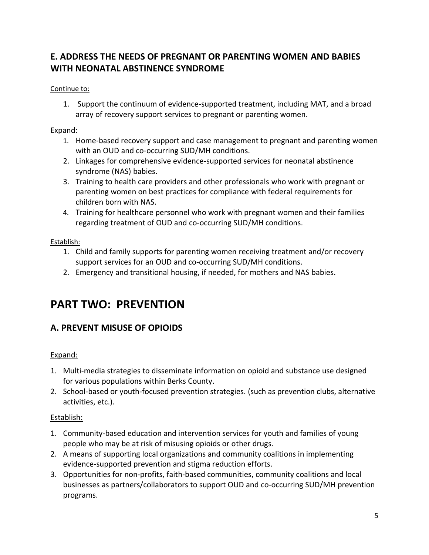# **E. ADDRESS THE NEEDS OF PREGNANT OR PARENTING WOMEN AND BABIES WITH NEONATAL ABSTINENCE SYNDROME**

#### Continue to:

1. Support the continuum of evidence-supported treatment, including MAT, and a broad array of recovery support services to pregnant or parenting women.

#### Expand:

- 1. Home-based recovery support and case management to pregnant and parenting women with an OUD and co-occurring SUD/MH conditions.
- 2. Linkages for comprehensive evidence-supported services for neonatal abstinence syndrome (NAS) babies.
- 3. Training to health care providers and other professionals who work with pregnant or parenting women on best practices for compliance with federal requirements for children born with NAS.
- 4. Training for healthcare personnel who work with pregnant women and their families regarding treatment of OUD and co-occurring SUD/MH conditions.

#### Establish:

- 1. Child and family supports for parenting women receiving treatment and/or recovery support services for an OUD and co-occurring SUD/MH conditions.
- 2. Emergency and transitional housing, if needed, for mothers and NAS babies.

# **PART TWO: PREVENTION**

# **A. PREVENT MISUSE OF OPIOIDS**

### Expand:

- 1. Multi-media strategies to disseminate information on opioid and substance use designed for various populations within Berks County.
- 2. School-based or youth-focused prevention strategies. (such as prevention clubs, alternative activities, etc.).

### Establish:

- 1. Community-based education and intervention services for youth and families of young people who may be at risk of misusing opioids or other drugs.
- 2. A means of supporting local organizations and community coalitions in implementing evidence-supported prevention and stigma reduction efforts.
- 3. Opportunities for non-profits, faith-based communities, community coalitions and local businesses as partners/collaborators to support OUD and co-occurring SUD/MH prevention programs.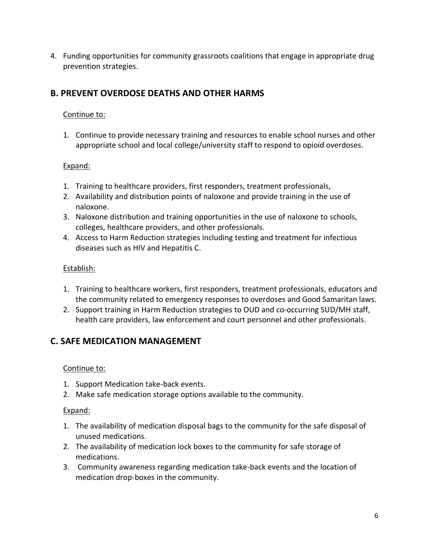4. Funding opportunities for community grassroots coalitions that engage in appropriate drug prevention strategies.

# **B. PREVENT OVERDOSE DEATHS AND OTHER HARMS**

# Continue to:

1. Continue to provide necessary training and resources to enable school nurses and other appropriate school and local college/university staff to respond to opioid overdoses.

# Expand:

- 1. Training to healthcare providers, first responders, treatment professionals,
- 2. Availability and distribution points of naloxone and provide training in the use of naloxone.
- 3. Naloxone distribution and training opportunities in the use of naloxone to schools, colleges, healthcare providers, and other professionals.
- 4. Access to Harm Reduction strategies including testing and treatment for infectious diseases such as HIV and Hepatitis C.

### Establish:

- 1. Training to healthcare workers, first responders, treatment professionals, educators and the community related to emergency responses to overdoses and Good Samaritan laws.
- 2. Support training in Harm Reduction strategies to OUD and co-occurring SUD/MH staff, health care providers, law enforcement and court personnel and other professionals.

# **C. SAFE MEDICATION MANAGEMENT**

### Continue to:

- 1. Support Medication take-back events.
- 2. Make safe medication storage options available to the community.

### Expand:

- 1. The availability of medication disposal bags to the community for the safe disposal of unused medications.
- 2. The availability of medication lock boxes to the community for safe storage of medications.
- 3. Community awareness regarding medication take-back events and the location of medication drop-boxes in the community.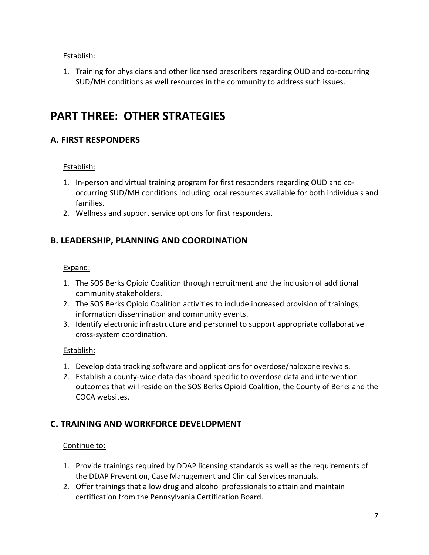Establish:

1. Training for physicians and other licensed prescribers regarding OUD and co-occurring SUD/MH conditions as well resources in the community to address such issues.

# **PART THREE: OTHER STRATEGIES**

# **A. FIRST RESPONDERS**

# Establish:

- 1. In-person and virtual training program for first responders regarding OUD and cooccurring SUD/MH conditions including local resources available for both individuals and families.
- 2. Wellness and support service options for first responders.

# **B. LEADERSHIP, PLANNING AND COORDINATION**

# Expand:

- 1. The SOS Berks Opioid Coalition through recruitment and the inclusion of additional community stakeholders.
- 2. The SOS Berks Opioid Coalition activities to include increased provision of trainings, information dissemination and community events.
- 3. Identify electronic infrastructure and personnel to support appropriate collaborative cross-system coordination.

# Establish:

- 1. Develop data tracking software and applications for overdose/naloxone revivals.
- 2. Establish a county-wide data dashboard specific to overdose data and intervention outcomes that will reside on the SOS Berks Opioid Coalition, the County of Berks and the COCA websites.

# **C. TRAINING AND WORKFORCE DEVELOPMENT**

# Continue to:

- 1. Provide trainings required by DDAP licensing standards as well as the requirements of the DDAP Prevention, Case Management and Clinical Services manuals.
- 2. Offer trainings that allow drug and alcohol professionals to attain and maintain certification from the Pennsylvania Certification Board.